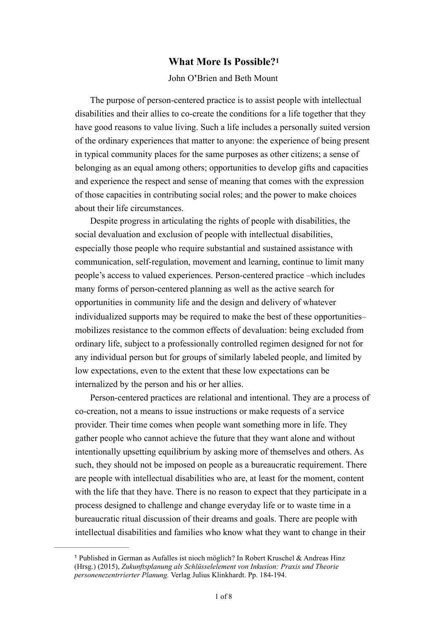## <span id="page-0-1"></span>**What More Is Possible?[1](#page-0-0)**

John O**'**Brien and Beth Mount

The purpose of person-centered practice is to assist people with intellectual disabilities and their allies to co-create the conditions for a life together that they have good reasons to value living. Such a life includes a personally suited version of the ordinary experiences that matter to anyone: the experience of being present in typical community places for the same purposes as other citizens; a sense of belonging as an equal among others; opportunities to develop gifts and capacities and experience the respect and sense of meaning that comes with the expression of those capacities in contributing social roles; and the power to make choices about their life circumstances.

Despite progress in articulating the rights of people with disabilities, the social devaluation and exclusion of people with intellectual disabilities, especially those people who require substantial and sustained assistance with communication, self-regulation, movement and learning, continue to limit many people's access to valued experiences. Person-centered practice –which includes many forms of person-centered planning as well as the active search for opportunities in community life and the design and delivery of whatever individualized supports may be required to make the best of these opportunities– mobilizes resistance to the common effects of devaluation: being excluded from ordinary life, subject to a professionally controlled regimen designed for not for any individual person but for groups of similarly labeled people, and limited by low expectations, even to the extent that these low expectations can be internalized by the person and his or her allies.

Person-centered practices are relational and intentional. They are a process of co-creation, not a means to issue instructions or make requests of a service provider. Their time comes when people want something more in life. They gather people who cannot achieve the future that they want alone and without intentionally upsetting equilibrium by asking more of themselves and others. As such, they should not be imposed on people as a bureaucratic requirement. There are people with intellectual disabilities who are, at least for the moment, content with the life that they have. There is no reason to expect that they participate in a process designed to challenge and change everyday life or to waste time in a bureaucratic ritual discussion of their dreams and goals. There are people with intellectual disabilities and families who know what they want to change in their

<span id="page-0-0"></span><sup>&</sup>lt;sup>[1](#page-0-1)</sup> Published in German as Aufalles ist nioch möglich? In Robert Kruschel & Andreas Hinz (Hrsg.) (2015), *Zukunftsplanung als Schlüsselelement von Inkusion: Praxis und Theorie personenezentrrierter Planung.* Verlag Julius Klinkhardt. Pp. 184-194.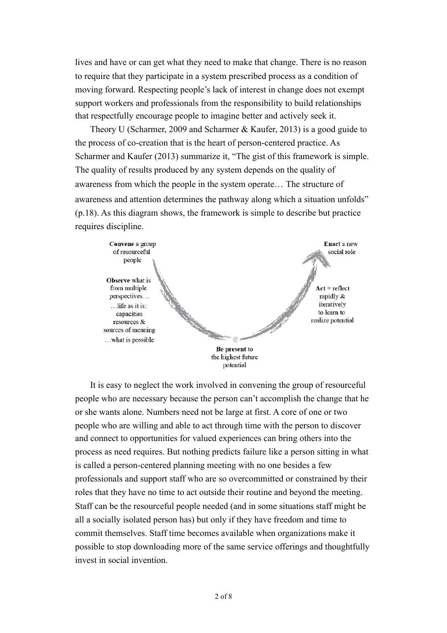lives and have or can get what they need to make that change. There is no reason to require that they participate in a system prescribed process as a condition of moving forward. Respecting people's lack of interest in change does not exempt support workers and professionals from the responsibility to build relationships that respectfully encourage people to imagine better and actively seek it.

Theory U (Scharmer, 2009 and Scharmer & Kaufer, 2013) is a good guide to the process of co-creation that is the heart of person-centered practice. As Scharmer and Kaufer (2013) summarize it, "The gist of this framework is simple. The quality of results produced by any system depends on the quality of awareness from which the people in the system operate… The structure of awareness and attention determines the pathway along which a situation unfolds" (p.18). As this diagram shows, the framework is simple to describe but practice requires discipline.



It is easy to neglect the work involved in convening the group of resourceful people who are necessary because the person can't accomplish the change that he or she wants alone. Numbers need not be large at first. A core of one or two people who are willing and able to act through time with the person to discover and connect to opportunities for valued experiences can bring others into the process as need requires. But nothing predicts failure like a person sitting in what is called a person-centered planning meeting with no one besides a few professionals and support staff who are so overcommitted or constrained by their roles that they have no time to act outside their routine and beyond the meeting. Staff can be the resourceful people needed (and in some situations staff might be all a socially isolated person has) but only if they have freedom and time to commit themselves. Staff time becomes available when organizations make it possible to stop downloading more of the same service offerings and thoughtfully invest in social invention.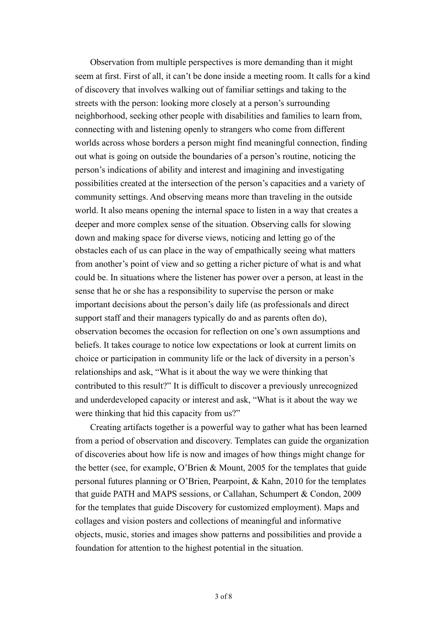Observation from multiple perspectives is more demanding than it might seem at first. First of all, it can't be done inside a meeting room. It calls for a kind of discovery that involves walking out of familiar settings and taking to the streets with the person: looking more closely at a person's surrounding neighborhood, seeking other people with disabilities and families to learn from, connecting with and listening openly to strangers who come from different worlds across whose borders a person might find meaningful connection, finding out what is going on outside the boundaries of a person's routine, noticing the person's indications of ability and interest and imagining and investigating possibilities created at the intersection of the person's capacities and a variety of community settings. And observing means more than traveling in the outside world. It also means opening the internal space to listen in a way that creates a deeper and more complex sense of the situation. Observing calls for slowing down and making space for diverse views, noticing and letting go of the obstacles each of us can place in the way of empathically seeing what matters from another's point of view and so getting a richer picture of what is and what could be. In situations where the listener has power over a person, at least in the sense that he or she has a responsibility to supervise the person or make important decisions about the person's daily life (as professionals and direct support staff and their managers typically do and as parents often do), observation becomes the occasion for reflection on one's own assumptions and beliefs. It takes courage to notice low expectations or look at current limits on choice or participation in community life or the lack of diversity in a person's relationships and ask, "What is it about the way we were thinking that contributed to this result?" It is difficult to discover a previously unrecognized and underdeveloped capacity or interest and ask, "What is it about the way we were thinking that hid this capacity from us?"

Creating artifacts together is a powerful way to gather what has been learned from a period of observation and discovery. Templates can guide the organization of discoveries about how life is now and images of how things might change for the better (see, for example, O'Brien & Mount, 2005 for the templates that guide personal futures planning or O'Brien, Pearpoint, & Kahn, 2010 for the templates that guide PATH and MAPS sessions, or Callahan, Schumpert & Condon, 2009 for the templates that guide Discovery for customized employment). Maps and collages and vision posters and collections of meaningful and informative objects, music, stories and images show patterns and possibilities and provide a foundation for attention to the highest potential in the situation.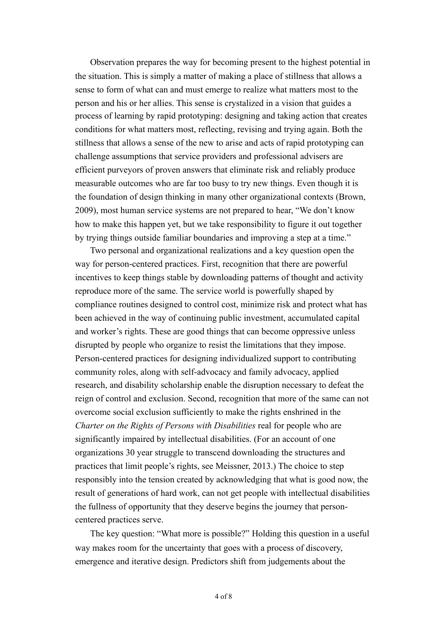Observation prepares the way for becoming present to the highest potential in the situation. This is simply a matter of making a place of stillness that allows a sense to form of what can and must emerge to realize what matters most to the person and his or her allies. This sense is crystalized in a vision that guides a process of learning by rapid prototyping: designing and taking action that creates conditions for what matters most, reflecting, revising and trying again. Both the stillness that allows a sense of the new to arise and acts of rapid prototyping can challenge assumptions that service providers and professional advisers are efficient purveyors of proven answers that eliminate risk and reliably produce measurable outcomes who are far too busy to try new things. Even though it is the foundation of design thinking in many other organizational contexts (Brown, 2009), most human service systems are not prepared to hear, "We don't know how to make this happen yet, but we take responsibility to figure it out together by trying things outside familiar boundaries and improving a step at a time."

Two personal and organizational realizations and a key question open the way for person-centered practices. First, recognition that there are powerful incentives to keep things stable by downloading patterns of thought and activity reproduce more of the same. The service world is powerfully shaped by compliance routines designed to control cost, minimize risk and protect what has been achieved in the way of continuing public investment, accumulated capital and worker's rights. These are good things that can become oppressive unless disrupted by people who organize to resist the limitations that they impose. Person-centered practices for designing individualized support to contributing community roles, along with self-advocacy and family advocacy, applied research, and disability scholarship enable the disruption necessary to defeat the reign of control and exclusion. Second, recognition that more of the same can not overcome social exclusion sufficiently to make the rights enshrined in the *Charter on the Rights of Persons with Disabilities* real for people who are significantly impaired by intellectual disabilities. (For an account of one organizations 30 year struggle to transcend downloading the structures and practices that limit people's rights, see Meissner, 2013.) The choice to step responsibly into the tension created by acknowledging that what is good now, the result of generations of hard work, can not get people with intellectual disabilities the fullness of opportunity that they deserve begins the journey that personcentered practices serve.

The key question: "What more is possible?" Holding this question in a useful way makes room for the uncertainty that goes with a process of discovery, emergence and iterative design. Predictors shift from judgements about the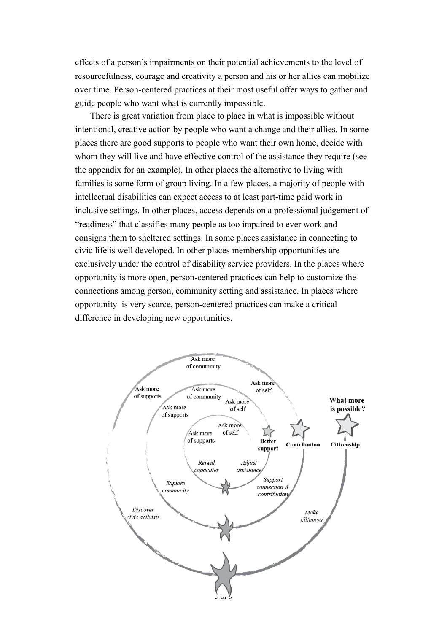effects of a person's impairments on their potential achievements to the level of resourcefulness, courage and creativity a person and his or her allies can mobilize over time. Person-centered practices at their most useful offer ways to gather and guide people who want what is currently impossible.

There is great variation from place to place in what is impossible without intentional, creative action by people who want a change and their allies. In some places there are good supports to people who want their own home, decide with whom they will live and have effective control of the assistance they require (see the appendix for an example). In other places the alternative to living with families is some form of group living. In a few places, a majority of people with intellectual disabilities can expect access to at least part-time paid work in inclusive settings. In other places, access depends on a professional judgement of "readiness" that classifies many people as too impaired to ever work and consigns them to sheltered settings. In some places assistance in connecting to civic life is well developed. In other places membership opportunities are exclusively under the control of disability service providers. In the places where opportunity is more open, person-centered practices can help to customize the connections among person, community setting and assistance. In places where opportunity is very scarce, person-centered practices can make a critical difference in developing new opportunities.

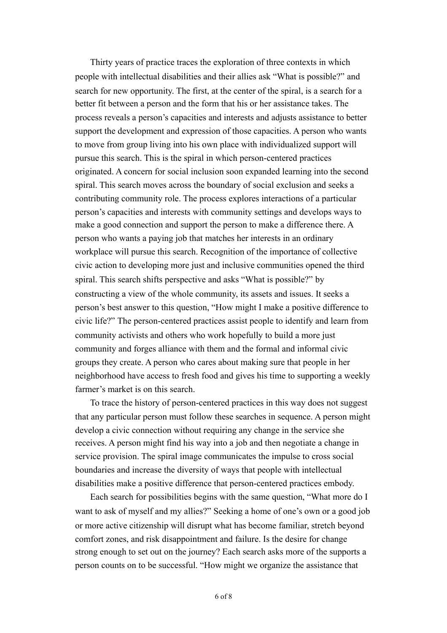Thirty years of practice traces the exploration of three contexts in which people with intellectual disabilities and their allies ask "What is possible?" and search for new opportunity. The first, at the center of the spiral, is a search for a better fit between a person and the form that his or her assistance takes. The process reveals a person's capacities and interests and adjusts assistance to better support the development and expression of those capacities. A person who wants to move from group living into his own place with individualized support will pursue this search. This is the spiral in which person-centered practices originated. A concern for social inclusion soon expanded learning into the second spiral. This search moves across the boundary of social exclusion and seeks a contributing community role. The process explores interactions of a particular person's capacities and interests with community settings and develops ways to make a good connection and support the person to make a difference there. A person who wants a paying job that matches her interests in an ordinary workplace will pursue this search. Recognition of the importance of collective civic action to developing more just and inclusive communities opened the third spiral. This search shifts perspective and asks "What is possible?" by constructing a view of the whole community, its assets and issues. It seeks a person's best answer to this question, "How might I make a positive difference to civic life?" The person-centered practices assist people to identify and learn from community activists and others who work hopefully to build a more just community and forges alliance with them and the formal and informal civic groups they create. A person who cares about making sure that people in her neighborhood have access to fresh food and gives his time to supporting a weekly farmer's market is on this search.

To trace the history of person-centered practices in this way does not suggest that any particular person must follow these searches in sequence. A person might develop a civic connection without requiring any change in the service she receives. A person might find his way into a job and then negotiate a change in service provision. The spiral image communicates the impulse to cross social boundaries and increase the diversity of ways that people with intellectual disabilities make a positive difference that person-centered practices embody.

Each search for possibilities begins with the same question, "What more do I want to ask of myself and my allies?" Seeking a home of one's own or a good job or more active citizenship will disrupt what has become familiar, stretch beyond comfort zones, and risk disappointment and failure. Is the desire for change strong enough to set out on the journey? Each search asks more of the supports a person counts on to be successful. "How might we organize the assistance that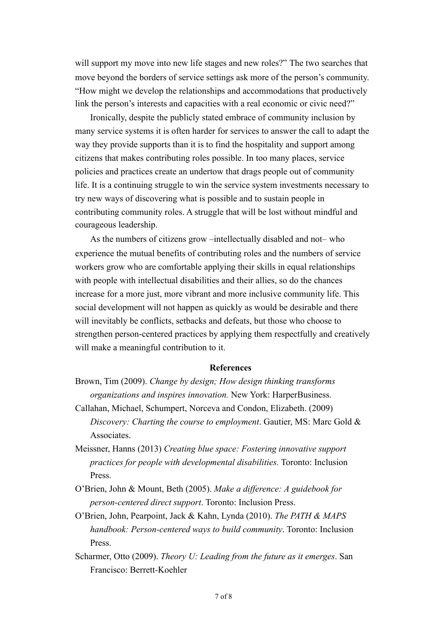will support my move into new life stages and new roles?" The two searches that move beyond the borders of service settings ask more of the person's community. "How might we develop the relationships and accommodations that productively link the person's interests and capacities with a real economic or civic need?"

Ironically, despite the publicly stated embrace of community inclusion by many service systems it is often harder for services to answer the call to adapt the way they provide supports than it is to find the hospitality and support among citizens that makes contributing roles possible. In too many places, service policies and practices create an undertow that drags people out of community life. It is a continuing struggle to win the service system investments necessary to try new ways of discovering what is possible and to sustain people in contributing community roles. A struggle that will be lost without mindful and courageous leadership.

As the numbers of citizens grow –intellectually disabled and not– who experience the mutual benefits of contributing roles and the numbers of service workers grow who are comfortable applying their skills in equal relationships with people with intellectual disabilities and their allies, so do the chances increase for a more just, more vibrant and more inclusive community life. This social development will not happen as quickly as would be desirable and there will inevitably be conflicts, setbacks and defeats, but those who choose to strengthen person-centered practices by applying them respectfully and creatively will make a meaningful contribution to it.

## **References**

- Brown, Tim (2009). *Change by design; How design thinking transforms organizations and inspires innovation.* New York: HarperBusiness.
- Callahan, Michael, Schumpert, Norceva and Condon, Elizabeth. (2009) *Discovery: Charting the course to employment*. Gautier, MS: Marc Gold & Associates.
- Meissner, Hanns (2013) *Creating blue space: Fostering innovative support practices for people with developmental disabilities.* Toronto: Inclusion Press.
- O'Brien, John & Mount, Beth (2005). *Make a difference: A guidebook for person-centered direct support*. Toronto: Inclusion Press.
- O'Brien, John, Pearpoint, Jack & Kahn, Lynda (2010). *The PATH & MAPS handbook: Person-centered ways to build community*. Toronto: Inclusion Press.
- Scharmer, Otto (2009). *Theory U: Leading from the future as it emerges*. San Francisco: Berrett-Koehler